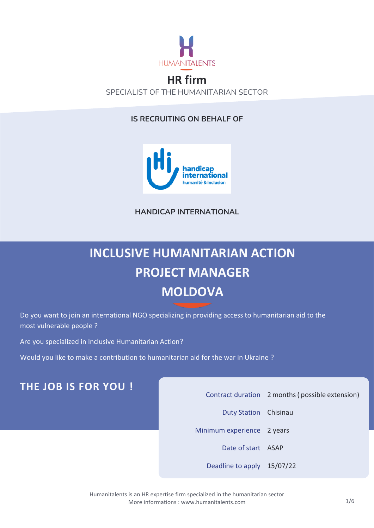

### **HR firm** SPECIALIST OF THE HUMANITARIAN SECTOR

#### **IS RECRUITING ON BEHALF OF**



**HANDICAP INTERNATIONAL**

# **INCLUSIVE HUMANITARIAN ACTION PROJECT MANAGER MOLDOVA**

Do you want to join an international NGO specializing in providing access to humanitarian aid to the most vulnerable people ?

Are you specialized in Inclusive Humanitarian Action?

Would you like to make a contribution to humanitarian aid for the war in Ukraine ?

# **THE JOB IS FOR YOU !**

Contract duration 2 months( possible extension)

Duty Station Chisinau

Minimum experience 2 years

Date of start ASAP

Deadline to apply 15/07/22

Humanitalents is an HR expertise firm specialized in the humanitarian sector More informations [: www.humanitalents.com](http://www.humanitalents.com/)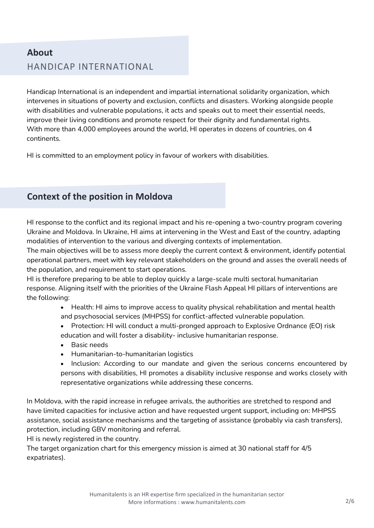# **About** HANDICAP INTERNATIONAL

Handicap International is an independent and impartial international solidarity organization, which intervenes in situations of poverty and exclusion, conflicts and disasters. Working alongside people with disabilities and vulnerable populations, it acts and speaks out to meet their essential needs, improve their living conditions and promote respect for their dignity and fundamental rights. With more than 4,000 employees around the world, HI operates in dozens of countries, on 4 continents.

HI is committed to an employment policy in favour of workers with disabilities.

### **Context of the position in Moldova**

HI response to the conflict and its regional impact and his re-opening a two-country program covering Ukraine and Moldova. In Ukraine, HI aims at intervening in the West and East of the country, adapting modalities of intervention to the various and diverging contexts of implementation.

The main objectives will be to assess more deeply the current context & environment, identify potential operational partners, meet with key relevant stakeholders on the ground and asses the overall needs of the population, and requirement to start operations.

HI is therefore preparing to be able to deploy quickly a large-scale multi sectoral humanitarian response. Aligning itself with the priorities of the Ukraine Flash Appeal HI pillars of interventions are the following:

> • Health: HI aims to improve access to quality physical rehabilitation and mental health and psychosocial services (MHPSS) for conflict-affected vulnerable population.

- Protection: HI will conduct a multi-pronged approach to Explosive Ordnance (EO) risk education and will foster a disability- inclusive humanitarian response.
- Basic needs
- Humanitarian-to-humanitarian logistics
- Inclusion: According to our mandate and given the serious concerns encountered by persons with disabilities, HI promotes a disability inclusive response and works closely with representative organizations while addressing these concerns.

In Moldova, with the rapid increase in refugee arrivals, the authorities are stretched to respond and have limited capacities for inclusive action and have requested urgent support, including on: MHPSS assistance, social assistance mechanisms and the targeting of assistance (probably via cash transfers), protection, including GBV monitoring and referral.

HI is newly registered in the country.

The target organization chart for this emergency mission is aimed at 30 national staff for 4/5 expatriates).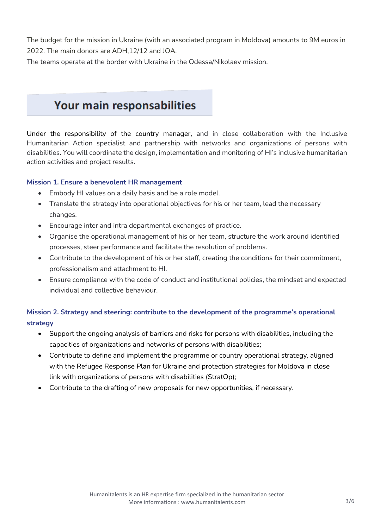The budget for the mission in Ukraine (with an associated program in Moldova) amounts to 9M euros in 2022. The main donors are ADH,12/12 and JOA.

The teams operate at the border with Ukraine in the Odessa/Nikolaev mission.

# Your main responsabilities

Under the responsibility of the country manager, and in close collaboration with the Inclusive Humanitarian Action specialist and partnership with networks and organizations of persons with disabilities. You will coordinate the design, implementation and monitoring of HI's inclusive humanitarian action activities and project results.

#### **Mission 1. Ensure a benevolent HR management**

- Embody HI values on a daily basis and be a role model.
- Translate the strategy into operational objectives for his or her team, lead the necessary changes.
- Encourage inter and intra departmental exchanges of practice.
- Organise the operational management of his or her team, structure the work around identified processes, steer performance and facilitate the resolution of problems.
- Contribute to the development of his or her staff, creating the conditions for their commitment, professionalism and attachment to HI.
- Ensure compliance with the code of conduct and institutional policies, the mindset and expected individual and collective behaviour.

### **Mission 2. Strategy and steering: contribute to the development of the programme's operational strategy**

- Support the ongoing analysis of barriers and risks for persons with disabilities, including the capacities of organizations and networks of persons with disabilities;
- Contribute to define and implement the programme or country operational strategy, aligned with the Refugee Response Plan for Ukraine and protection strategies for Moldova in close link with organizations of persons with disabilities (StratOp);
- Contribute to the drafting of new proposals for new opportunities, if necessary.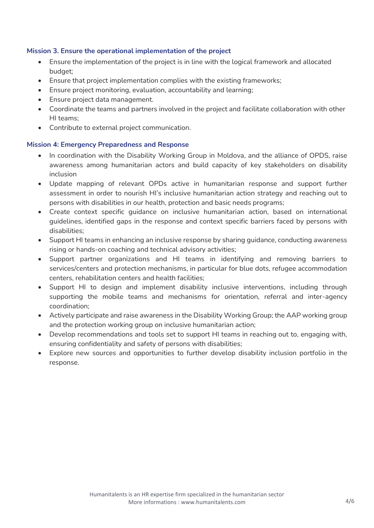#### **Mission 3. Ensure the operational implementation of the project**

- Ensure the implementation of the project is in line with the logical framework and allocated budget;
- Ensure that project implementation complies with the existing frameworks;
- Ensure project monitoring, evaluation, accountability and learning;
- Ensure project data management.
- Coordinate the teams and partners involved in the project and facilitate collaboration with other HI teams;
- Contribute to external project communication.

#### **Mission 4: Emergency Preparedness and Response**

- In coordination with the Disability Working Group in Moldova, and the alliance of OPDS, raise awareness among humanitarian actors and build capacity of key stakeholders on disability inclusion
- Update mapping of relevant OPDs active in humanitarian response and support further assessment in order to nourish HI's inclusive humanitarian action strategy and reaching out to persons with disabilities in our health, protection and basic needs programs;
- Create context specific guidance on inclusive humanitarian action, based on international guidelines, identified gaps in the response and context specific barriers faced by persons with disabilities;
- Support HI teams in enhancing an inclusive response by sharing guidance, conducting awareness rising or hands-on coaching and technical advisory activities;
- Support partner organizations and HI teams in identifying and removing barriers to services/centers and protection mechanisms, in particular for blue dots, refugee accommodation centers, rehabilitation centers and health facilities;
- Support HI to design and implement disability inclusive interventions, including through supporting the mobile teams and mechanisms for orientation, referral and inter-agency coordination;
- Actively participate and raise awareness in the Disability Working Group; the AAP working group and the protection working group on inclusive humanitarian action;
- Develop recommendations and tools set to support HI teams in reaching out to, engaging with, ensuring confidentiality and safety of persons with disabilities;
- Explore new sources and opportunities to further develop disability inclusion portfolio in the response.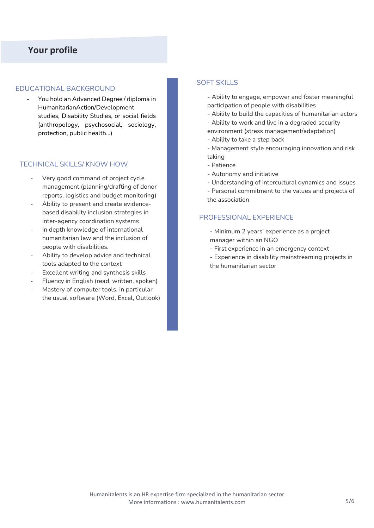#### EDUCATIONAL BACKGROUND

- You hold an Advanced Degree / diploma in HumanitarianAction/Development studies, Disability Studies, or social fields (anthropology, psychosocial, sociology, protection, public health…)

#### TECHNICAL SKILLS/ KNOW HOW

- Very good command of project cycle management (planning/drafting of donor reports, logistics and budget monitoring)
- Ability to present and create evidencebased disability inclusion strategies in inter-agency coordination systems
- In depth knowledge of international humanitarian law and the inclusion of people with disabilities.
- Ability to develop advice and technical tools adapted to the context
- Excellent writing and synthesis skills
- Fluency in English (read, written, spoken)
- Mastery of computer tools, in particular the usual software (Word, Excel, Outlook)

#### SOFT SKILLS

**-** Ability to engage, empower and foster meaningful participation of people with disabilities

- **-** Ability to build the capacities of humanitarian actors
- Ability to work and live in a degraded security
- environment (stress management/adaptation)
- Ability to take a step back
- Management style encouraging innovation and risk taking
- Patience
- Autonomy and initiative
- Understanding of intercultural dynamics and issues
- Personal commitment to the values and projects of the association

#### PROFESSIONAL EXPERIENCE

- Minimum 2 years' experience as a project manager within an NGO
- First experience in an emergency context
- Experience in disability mainstreaming projects in the humanitarian sector